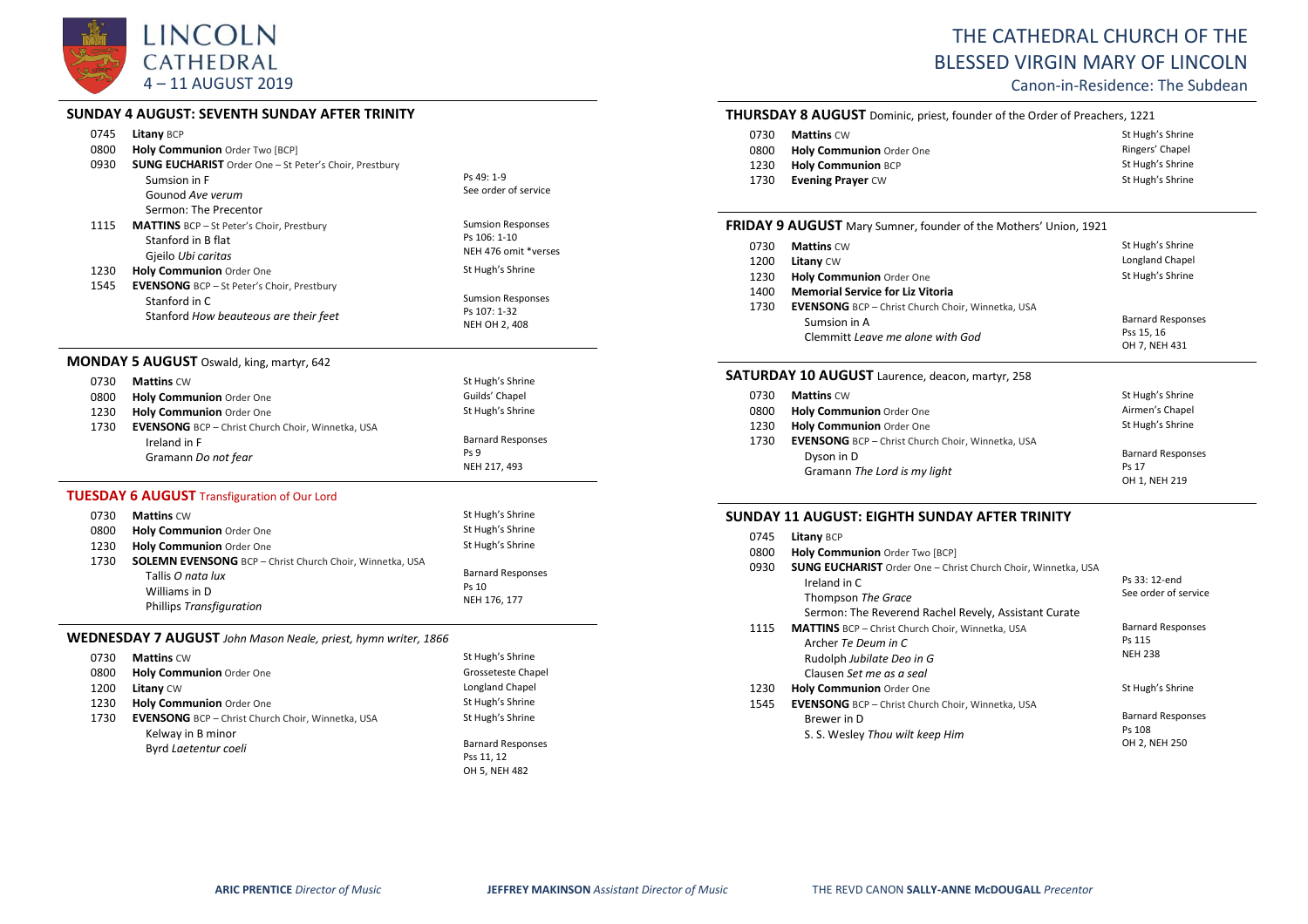

# **SUNDAY 4 AUGUST: SEVENTH SUNDAY AFTER TRINITY**

|              | <u>ו וואוווו ואז ואסאוטכ ווואו ואכלולטטטא ד ואסאוטכ</u>                                                                    |                                                                |
|--------------|----------------------------------------------------------------------------------------------------------------------------|----------------------------------------------------------------|
| 0745         | <b>Litany BCP</b>                                                                                                          |                                                                |
| 0800         | Holy Communion Order Two [BCP]                                                                                             |                                                                |
| 0930<br>1115 | <b>SUNG EUCHARIST</b> Order One - St Peter's Choir, Prestbury<br>Sumsion in F<br>Gounod Ave verum<br>Sermon: The Precentor | Ps 49: 1-9<br>See order of service<br><b>Sumsion Responses</b> |
|              | <b>MATTINS</b> BCP - St Peter's Choir, Prestbury<br>Stanford in B flat<br>Gjeilo Ubi caritas                               | Ps 106: 1-10<br>NEH 476 omit *verses                           |
| 1230         | Holy Communion Order One                                                                                                   | St Hugh's Shrine                                               |
| 1545         | EVENSONG BCP - St Peter's Choir, Prestbury<br>Stanford in C<br>Stanford How beauteous are their feet                       | <b>Sumsion Responses</b><br>Ps 107: 1-32<br>NEH OH 2, 408      |
|              | <b>MONDAY 5 AUGUST</b> Oswald, king, martyr, 642                                                                           |                                                                |
| 0730         | <b>Mattins CW</b>                                                                                                          | St Hugh's Shrine                                               |
| 0800         | Holy Communion Order One                                                                                                   | Guilds' Chapel                                                 |
| 1230         | Holy Communion Order One                                                                                                   | St Hugh's Shrine                                               |
| 1730         | <b>EVENSONG</b> BCP - Christ Church Choir, Winnetka, USA<br>Ireland in F<br>Gramann Do not fear                            | <b>Barnard Responses</b><br>Ps 9<br>NEH 217, 493               |
|              | <b>TUESDAY 6 AUGUST</b> Transfiguration of Our Lord                                                                        |                                                                |
|              | $0720$ Mattine $C_M$                                                                                                       | St Hugh's Shrine                                               |

| 0730 | <b>Mattins CW</b>                                               | St Hugh's Shrine         |
|------|-----------------------------------------------------------------|--------------------------|
| 0800 | <b>Holy Communion Order One</b>                                 | St Hugh's Shrine         |
| 1230 | Holy Communion Order One                                        | St Hugh's Shrine         |
| 1730 | <b>SOLEMN EVENSONG</b> BCP - Christ Church Choir, Winnetka, USA |                          |
|      | Tallis O nata lux                                               | <b>Barnard Responses</b> |
|      | Williams in D                                                   | Ps 10                    |
|      | <b>Phillips Transfiguration</b>                                 | NEH 176, 177             |

# **WEDNESDAY 7 AUGUST** *John Mason Neale, priest, hymn writer, 1866*

| 0730 | <b>Mattins CW</b>                                        | St Hugh's Shrine         |
|------|----------------------------------------------------------|--------------------------|
| 0800 | Holy Communion Order One                                 | Grosseteste Chapel       |
| 1200 | <b>Litany CW</b>                                         | Longland Chapel          |
| 1230 | Holy Communion Order One                                 | St Hugh's Shrine         |
| 1730 | <b>EVENSONG</b> BCP - Christ Church Choir, Winnetka, USA | St Hugh's Shrine         |
|      | Kelway in B minor                                        |                          |
|      | Byrd Laetentur coeli                                     | <b>Barnard Responses</b> |
|      |                                                          | Pss 11, 12               |
|      |                                                          | OH 5 NFH 482             |

# THE CATHEDRAL CHURCH OF THE BLESSED VIRGIN MARY OF LINCOLN

Canon-in-Residence: The Subdean

# **THURSDAY 8 AUGUST** Dominic, priest, founder of the Order of Preachers, 1221

| 0730 | <b>Mattins</b> CW               | St Hugh's Shrine |
|------|---------------------------------|------------------|
| 0800 | <b>Holy Communion</b> Order One | Ringers' Chapel  |
| 1230 | <b>Holy Communion BCP</b>       | St Hugh's Shrine |
| 1730 | <b>Evening Prayer CW</b>        | St Hugh's Shrine |

#### **FRIDAY 9 AUGUST** Mary Sumner, founder of the Mothers' Union, 1921

| 0730 | <b>Mattins CW</b>                                        | St Hugh's Shrine         |
|------|----------------------------------------------------------|--------------------------|
| 1200 | Litany CW                                                | Longland Chapel          |
| 1230 | Holy Communion Order One                                 | St Hugh's Shrine         |
| 1400 | <b>Memorial Service for Liz Vitoria</b>                  |                          |
| 1730 | <b>EVENSONG</b> BCP - Christ Church Choir, Winnetka, USA |                          |
|      | Sumsion in A                                             | <b>Barnard Responses</b> |
|      | Clemmitt Leave me alone with God                         | Pss 15, 16               |
|      |                                                          | OH 7, NEH 431            |

# **SATURDAY 10 AUGUST** Laurence, deacon, martyr, 258

| 0730 | <b>Mattins CW</b>                                        | St Hugh's Shrine         |
|------|----------------------------------------------------------|--------------------------|
| 0800 | Holy Communion Order One                                 | Airmen's Chapel          |
| 1230 | Holy Communion Order One                                 | St Hugh's Shrine         |
| 1730 | <b>EVENSONG</b> BCP - Christ Church Choir, Winnetka, USA |                          |
|      | Dyson in D                                               | <b>Barnard Responses</b> |
|      | Gramann The Lord is my light                             | Ps 17                    |
|      |                                                          | OH 1, NEH 219            |

#### **SUNDAY 11 AUGUST: EIGHTH SUNDAY AFTER TRINITY**

| 0745 | Litany BCP                                                           |                          |
|------|----------------------------------------------------------------------|--------------------------|
| 0800 | Holy Communion Order Two [BCP]                                       |                          |
| 0930 | <b>SUNG EUCHARIST</b> Order One - Christ Church Choir, Winnetka, USA |                          |
|      | Ireland in C                                                         | Ps 33: 12-end            |
|      | Thompson The Grace                                                   | See order of service     |
|      | Sermon: The Reverend Rachel Revely, Assistant Curate                 |                          |
| 1115 | <b>MATTINS</b> BCP - Christ Church Choir, Winnetka, USA              | <b>Barnard Responses</b> |
|      | Archer Te Deum in C                                                  | Ps 115                   |
|      | Rudolph Jubilate Deo in G                                            | <b>NEH 238</b>           |
|      | Clausen Set me as a seal                                             |                          |
| 1230 | <b>Holy Communion</b> Order One                                      | St Hugh's Shrine         |
| 1545 | <b>EVENSONG</b> BCP - Christ Church Choir, Winnetka, USA             |                          |
|      | Brewer in D                                                          | <b>Barnard Responses</b> |
|      | S. S. Wesley Thou wilt keep Him                                      | Ps 108                   |
|      |                                                                      | OH 2, NEH 250            |